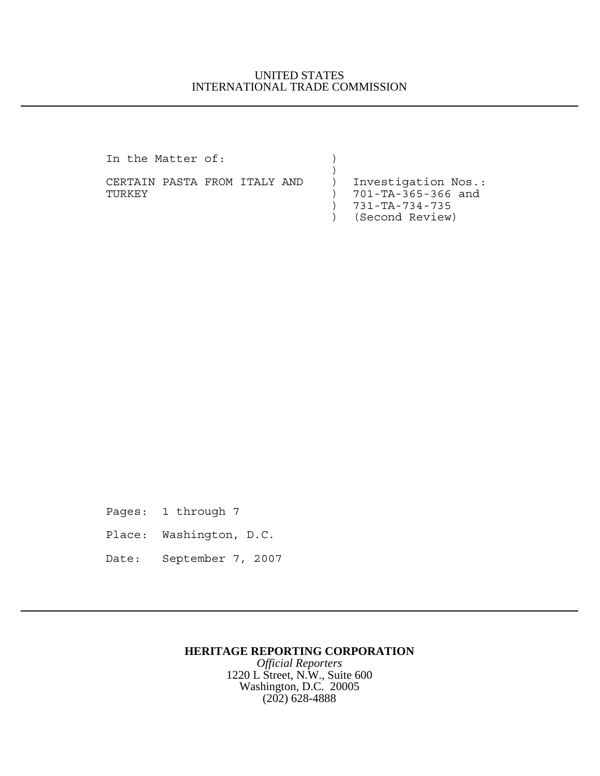## UNITED STATES INTERNATIONAL TRADE COMMISSION

In the Matter of:

 $)$ CERTAIN PASTA FROM ITALY AND ) Investigation Nos.: TURKEY ) 701-TA-365-366 and

) 731-TA-734-735

) (Second Review)

Pages: 1 through 7

- Place: Washington, D.C.
- Date: September 7, 2007

## **HERITAGE REPORTING CORPORATION**

*Official Reporters* 1220 L Street, N.W., Suite 600 Washington, D.C. 20005 (202) 628-4888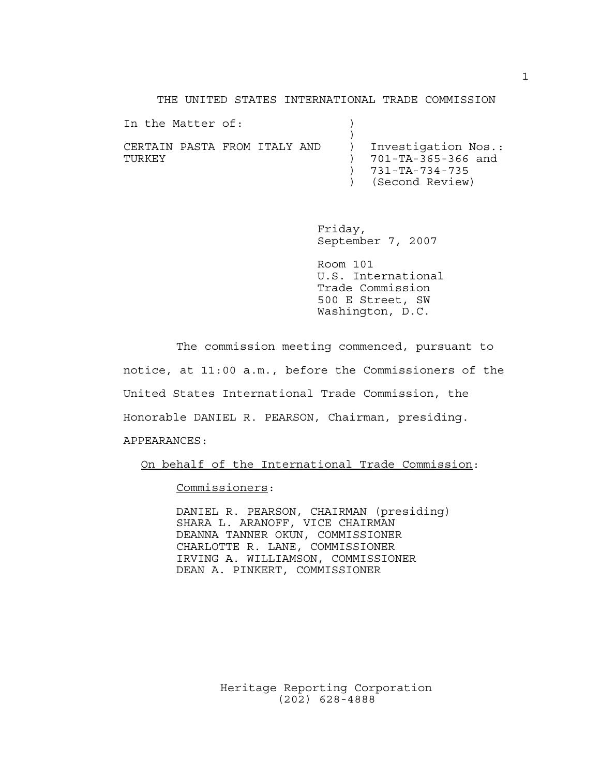THE UNITED STATES INTERNATIONAL TRADE COMMISSION

| In the Matter of:                      |                                                                                                |
|----------------------------------------|------------------------------------------------------------------------------------------------|
| CERTAIN PASTA FROM ITALY AND<br>TURKEY | ) Investigation Nos.:<br>$) 701-TA-365-366$ and<br>$) 731 - TA - 734 - 735$<br>(Second Review) |

Friday, September 7, 2007

Room 101 U.S. International Trade Commission 500 E Street, SW Washington, D.C.

The commission meeting commenced, pursuant to notice, at 11:00 a.m., before the Commissioners of the United States International Trade Commission, the Honorable DANIEL R. PEARSON, Chairman, presiding. APPEARANCES:

On behalf of the International Trade Commission:

Commissioners:

DANIEL R. PEARSON, CHAIRMAN (presiding) SHARA L. ARANOFF, VICE CHAIRMAN DEANNA TANNER OKUN, COMMISSIONER CHARLOTTE R. LANE, COMMISSIONER IRVING A. WILLIAMSON, COMMISSIONER DEAN A. PINKERT, COMMISSIONER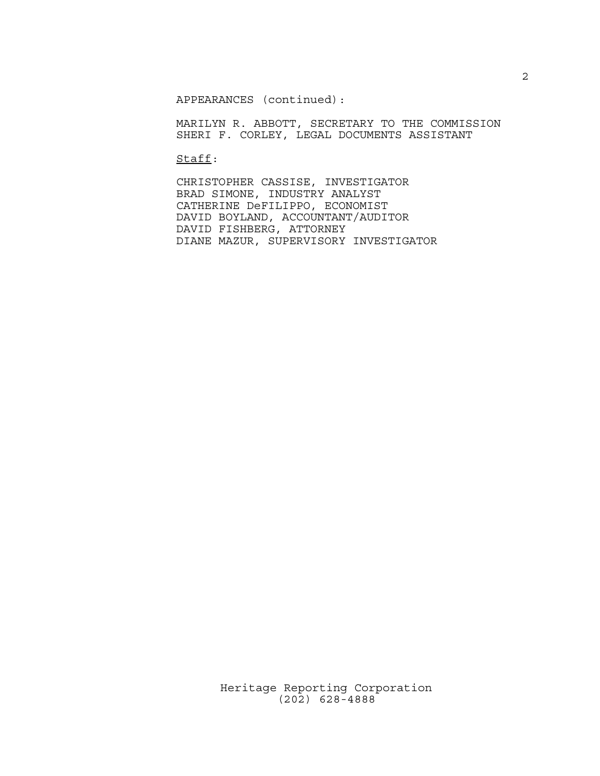APPEARANCES (continued):

MARILYN R. ABBOTT, SECRETARY TO THE COMMISSION SHERI F. CORLEY, LEGAL DOCUMENTS ASSISTANT

Staff:

CHRISTOPHER CASSISE, INVESTIGATOR BRAD SIMONE, INDUSTRY ANALYST CATHERINE DeFILIPPO, ECONOMIST DAVID BOYLAND, ACCOUNTANT/AUDITOR DAVID FISHBERG, ATTORNEY DIANE MAZUR, SUPERVISORY INVESTIGATOR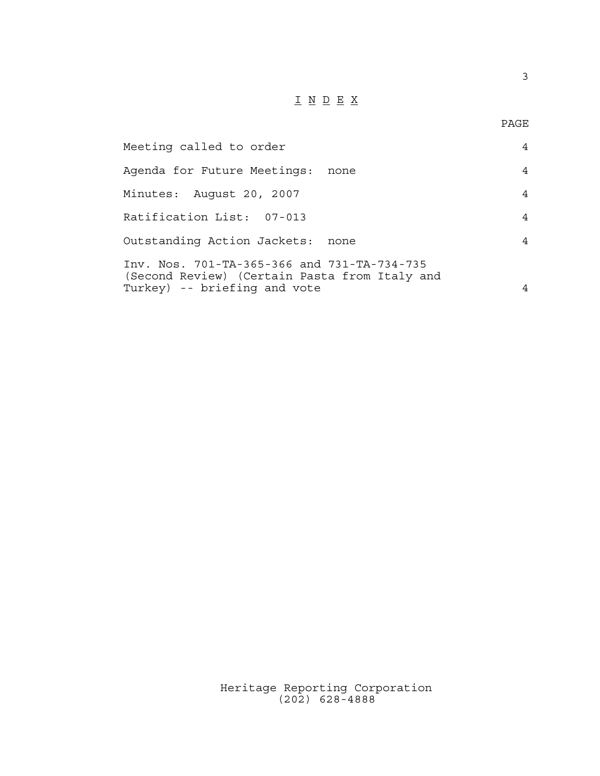## $\underline{\texttt{I}} \underline{\texttt{N}} \underline{\texttt{D}} \underline{\texttt{E}} \underline{\texttt{X}}$

PAGE

| Meeting called to order                                                                                                      | $\overline{4}$ |
|------------------------------------------------------------------------------------------------------------------------------|----------------|
| Agenda for Future Meetings:<br>none                                                                                          | $\overline{4}$ |
| Minutes: August 20, 2007                                                                                                     | 4              |
| Ratification List: 07-013                                                                                                    | 4              |
| Outstanding Action Jackets: none                                                                                             | $\overline{4}$ |
| Inv. Nos. 701-TA-365-366 and 731-TA-734-735<br>(Second Review) (Certain Pasta from Italy and<br>Turkey) -- briefing and vote | 4              |
|                                                                                                                              |                |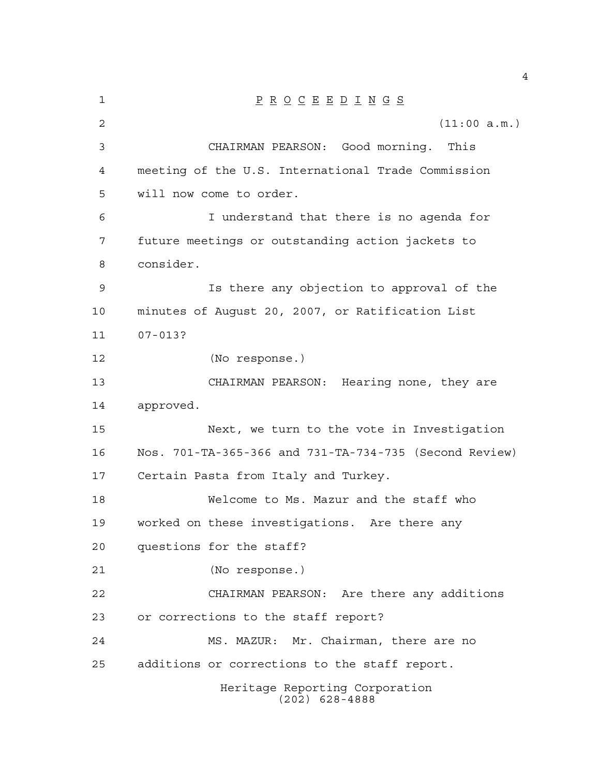| 1              | $\underline{P} \underline{R} \underline{O} \underline{C} \underline{E} \underline{E} \underline{D} \underline{I} \underline{N} \underline{G} \underline{S}$ |
|----------------|-------------------------------------------------------------------------------------------------------------------------------------------------------------|
| $\overline{2}$ | (11:00 a.m.)                                                                                                                                                |
| 3              | CHAIRMAN PEARSON: Good morning.<br>This                                                                                                                     |
| $\overline{4}$ | meeting of the U.S. International Trade Commission                                                                                                          |
| 5              | will now come to order.                                                                                                                                     |
| 6              | I understand that there is no agenda for                                                                                                                    |
| 7              | future meetings or outstanding action jackets to                                                                                                            |
| 8              | consider.                                                                                                                                                   |
| $\mathsf 9$    | Is there any objection to approval of the                                                                                                                   |
| 10             | minutes of August 20, 2007, or Ratification List                                                                                                            |
| 11             | $07 - 013?$                                                                                                                                                 |
| 12             | (No response.)                                                                                                                                              |
| 13             | CHAIRMAN PEARSON: Hearing none, they are                                                                                                                    |
| 14             | approved.                                                                                                                                                   |
| 15             | Next, we turn to the vote in Investigation                                                                                                                  |
| 16             | Nos. 701-TA-365-366 and 731-TA-734-735 (Second Review)                                                                                                      |
| 17             | Certain Pasta from Italy and Turkey.                                                                                                                        |
| 18             | Welcome to Ms. Mazur and the staff who                                                                                                                      |
| 19             | worked on these investigations. Are there any                                                                                                               |
| 20             | questions for the staff?                                                                                                                                    |
| 21             | (No response.)                                                                                                                                              |
| 22             | CHAIRMAN PEARSON: Are there any additions                                                                                                                   |
| 23             | or corrections to the staff report?                                                                                                                         |
| 24             | MS. MAZUR: Mr. Chairman, there are no                                                                                                                       |
| 25             | additions or corrections to the staff report.                                                                                                               |
|                | Heritage Reporting Corporation<br>$(202)$ 628-4888                                                                                                          |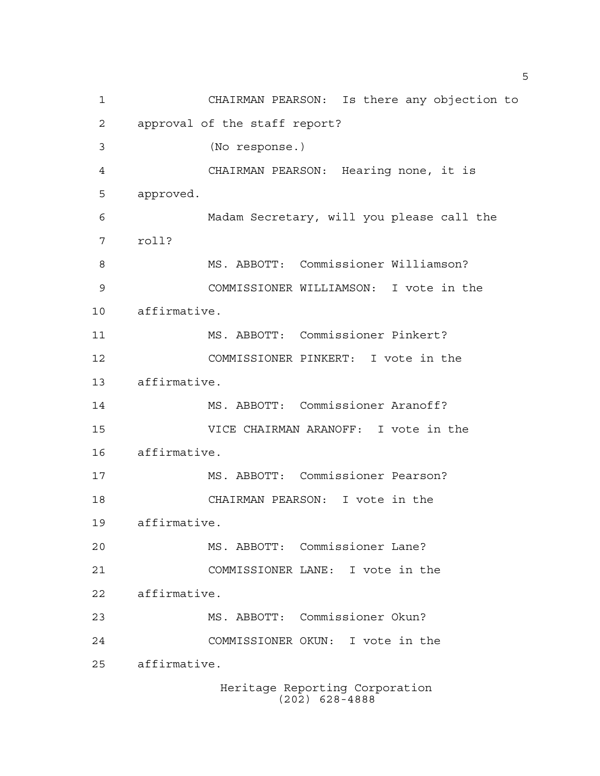Heritage Reporting Corporation CHAIRMAN PEARSON: Is there any objection to approval of the staff report? (No response.) CHAIRMAN PEARSON: Hearing none, it is approved. Madam Secretary, will you please call the roll? MS. ABBOTT: Commissioner Williamson? COMMISSIONER WILLIAMSON: I vote in the affirmative. MS. ABBOTT: Commissioner Pinkert? COMMISSIONER PINKERT: I vote in the affirmative. MS. ABBOTT: Commissioner Aranoff? VICE CHAIRMAN ARANOFF: I vote in the affirmative. MS. ABBOTT: Commissioner Pearson? CHAIRMAN PEARSON: I vote in the affirmative. MS. ABBOTT: Commissioner Lane? COMMISSIONER LANE: I vote in the affirmative. MS. ABBOTT: Commissioner Okun? COMMISSIONER OKUN: I vote in the affirmative.

(202) 628-4888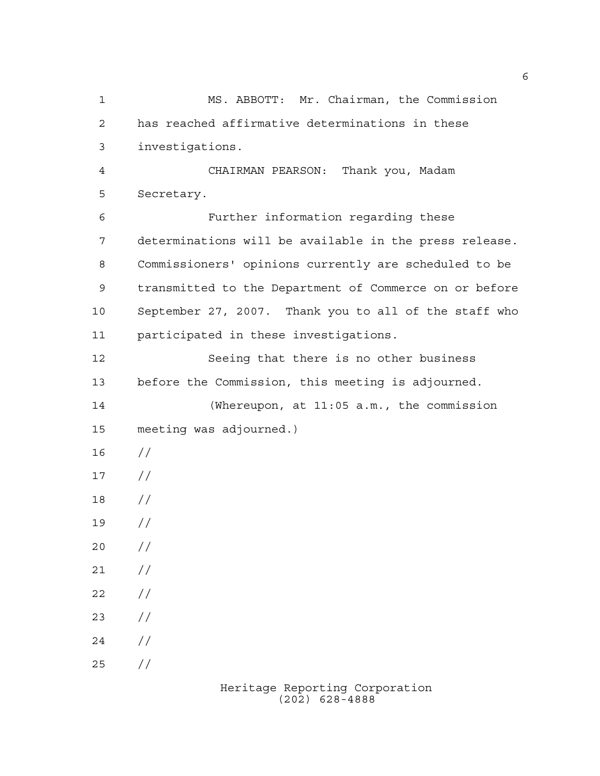MS. ABBOTT: Mr. Chairman, the Commission has reached affirmative determinations in these investigations. CHAIRMAN PEARSON: Thank you, Madam Secretary. Further information regarding these determinations will be available in the press release. Commissioners' opinions currently are scheduled to be transmitted to the Department of Commerce on or before September 27, 2007. Thank you to all of the staff who participated in these investigations. Seeing that there is no other business before the Commission, this meeting is adjourned. (Whereupon, at 11:05 a.m., the commission meeting was adjourned.) //  $17 /$  // //  $20 /$  $21 /$  $22 / /$  $23 / /$  $24 /$  $25 / /$